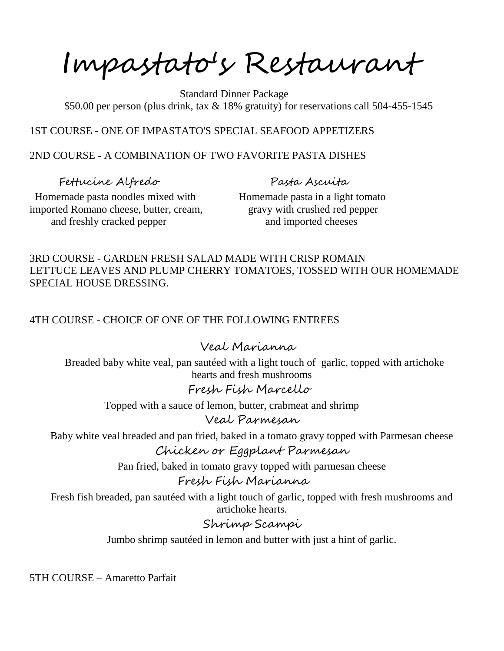Impastato's Restaurant

 Standard Dinner Package \$50.00 per person (plus drink, tax & 18% gratuity) for reservations call 504-455-1545

# 1ST COURSE - ONE OF IMPASTATO'S SPECIAL SEAFOOD APPETIZERS

## 2ND COURSE - A COMBINATION OF TWO FAVORITE PASTA DISHES

Fettucine Alfredo Pasta Ascuita

Homemade pasta noodles mixed with Homemade pasta in a light tomato imported Romano cheese, butter, cream, gravy with crushed red pepper and freshly cracked pepper and imported cheeses

# 3RD COURSE - GARDEN FRESH SALAD MADE WITH CRISP ROMAIN LETTUCE LEAVES AND PLUMP CHERRY TOMATOES, TOSSED WITH OUR HOMEMADE SPECIAL HOUSE DRESSING.

#### 4TH COURSE - CHOICE OF ONE OF THE FOLLOWING ENTREES

Veal Marianna

 Breaded baby white veal, pan sautéed with a light touch of garlic, topped with artichoke hearts and fresh mushrooms

Fresh Fish Marcello

Topped with a sauce of lemon, butter, crabmeat and shrimp

Veal Parmesan

Baby white veal breaded and pan fried, baked in a tomato gravy topped with Parmesan cheese Chicken or Eggplant Parmesan

Pan fried, baked in tomato gravy topped with parmesan cheese

Fresh Fish Marianna

Fresh fish breaded, pan sautéed with a light touch of garlic, topped with fresh mushrooms and artichoke hearts.

# Shrimp Scampi

Jumbo shrimp sautéed in lemon and butter with just a hint of garlic.

5TH COURSE – Amaretto Parfait